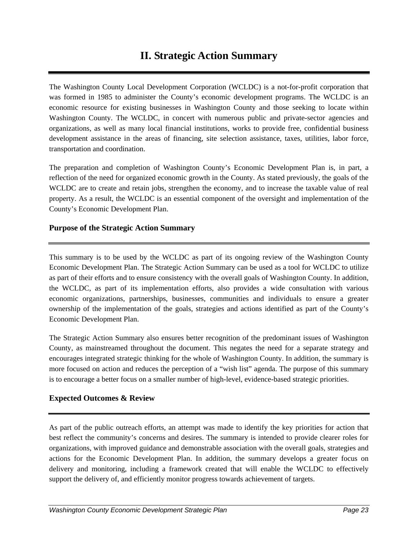# **II. Strategic Action Summary**

The Washington County Local Development Corporation (WCLDC) is a not-for-profit corporation that was formed in 1985 to administer the County's economic development programs. The WCLDC is an economic resource for existing businesses in Washington County and those seeking to locate within Washington County. The WCLDC, in concert with numerous public and private-sector agencies and organizations, as well as many local financial institutions, works to provide free, confidential business development assistance in the areas of financing, site selection assistance, taxes, utilities, labor force, transportation and coordination.

The preparation and completion of Washington County's Economic Development Plan is, in part, a reflection of the need for organized economic growth in the County. As stated previously, the goals of the WCLDC are to create and retain jobs, strengthen the economy, and to increase the taxable value of real property. As a result, the WCLDC is an essential component of the oversight and implementation of the County's Economic Development Plan.

# **Purpose of the Strategic Action Summary**

This summary is to be used by the WCLDC as part of its ongoing review of the Washington County Economic Development Plan. The Strategic Action Summary can be used as a tool for WCLDC to utilize as part of their efforts and to ensure consistency with the overall goals of Washington County. In addition, the WCLDC, as part of its implementation efforts, also provides a wide consultation with various economic organizations, partnerships, businesses, communities and individuals to ensure a greater ownership of the implementation of the goals, strategies and actions identified as part of the County's Economic Development Plan.

The Strategic Action Summary also ensures better recognition of the predominant issues of Washington County, as mainstreamed throughout the document. This negates the need for a separate strategy and encourages integrated strategic thinking for the whole of Washington County. In addition, the summary is more focused on action and reduces the perception of a "wish list" agenda. The purpose of this summary is to encourage a better focus on a smaller number of high-level, evidence-based strategic priorities.

# **Expected Outcomes & Review**

As part of the public outreach efforts, an attempt was made to identify the key priorities for action that best reflect the community's concerns and desires. The summary is intended to provide clearer roles for organizations, with improved guidance and demonstrable association with the overall goals, strategies and actions for the Economic Development Plan. In addition, the summary develops a greater focus on delivery and monitoring, including a framework created that will enable the WCLDC to effectively support the delivery of, and efficiently monitor progress towards achievement of targets.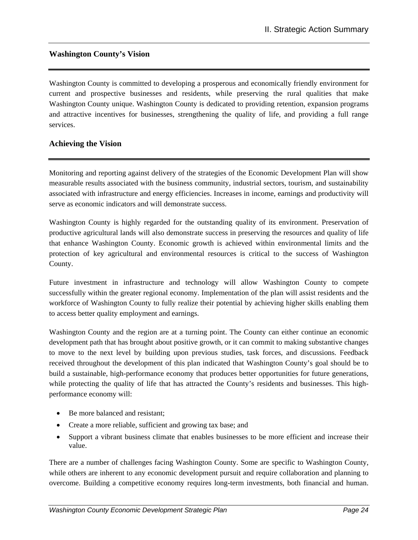### **Washington County's Vision**

Washington County is committed to developing a prosperous and economically friendly environment for current and prospective businesses and residents, while preserving the rural qualities that make Washington County unique. Washington County is dedicated to providing retention, expansion programs and attractive incentives for businesses, strengthening the quality of life, and providing a full range services.

### **Achieving the Vision**

Monitoring and reporting against delivery of the strategies of the Economic Development Plan will show measurable results associated with the business community, industrial sectors, tourism, and sustainability associated with infrastructure and energy efficiencies. Increases in income, earnings and productivity will serve as economic indicators and will demonstrate success.

Washington County is highly regarded for the outstanding quality of its environment. Preservation of productive agricultural lands will also demonstrate success in preserving the resources and quality of life that enhance Washington County. Economic growth is achieved within environmental limits and the protection of key agricultural and environmental resources is critical to the success of Washington County.

Future investment in infrastructure and technology will allow Washington County to compete successfully within the greater regional economy. Implementation of the plan will assist residents and the workforce of Washington County to fully realize their potential by achieving higher skills enabling them to access better quality employment and earnings.

Washington County and the region are at a turning point. The County can either continue an economic development path that has brought about positive growth, or it can commit to making substantive changes to move to the next level by building upon previous studies, task forces, and discussions. Feedback received throughout the development of this plan indicated that Washington County's goal should be to build a sustainable, high-performance economy that produces better opportunities for future generations, while protecting the quality of life that has attracted the County's residents and businesses. This highperformance economy will:

- Be more balanced and resistant;
- Create a more reliable, sufficient and growing tax base; and
- Support a vibrant business climate that enables businesses to be more efficient and increase their value.

There are a number of challenges facing Washington County. Some are specific to Washington County, while others are inherent to any economic development pursuit and require collaboration and planning to overcome. Building a competitive economy requires long-term investments, both financial and human.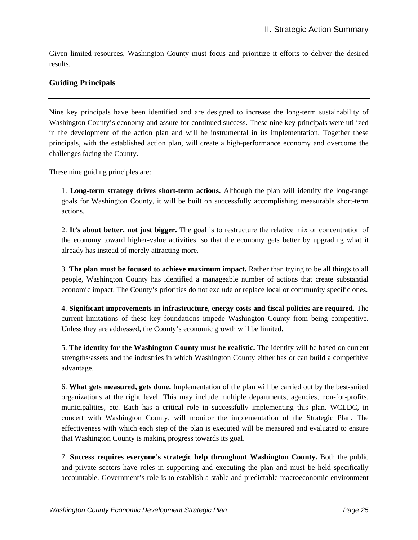Given limited resources, Washington County must focus and prioritize it efforts to deliver the desired results.

# **Guiding Principals**

Nine key principals have been identified and are designed to increase the long-term sustainability of Washington County's economy and assure for continued success. These nine key principals were utilized in the development of the action plan and will be instrumental in its implementation. Together these principals, with the established action plan, will create a high-performance economy and overcome the challenges facing the County.

These nine guiding principles are:

1. **Long-term strategy drives short-term actions.** Although the plan will identify the long-range goals for Washington County, it will be built on successfully accomplishing measurable short-term actions.

2. **It's about better, not just bigger.** The goal is to restructure the relative mix or concentration of the economy toward higher-value activities, so that the economy gets better by upgrading what it already has instead of merely attracting more.

3. **The plan must be focused to achieve maximum impact.** Rather than trying to be all things to all people, Washington County has identified a manageable number of actions that create substantial economic impact. The County's priorities do not exclude or replace local or community specific ones.

4. **Significant improvements in infrastructure, energy costs and fiscal policies are required.** The current limitations of these key foundations impede Washington County from being competitive. Unless they are addressed, the County's economic growth will be limited.

5. **The identity for the Washington County must be realistic.** The identity will be based on current strengths/assets and the industries in which Washington County either has or can build a competitive advantage.

6. **What gets measured, gets done.** Implementation of the plan will be carried out by the best-suited organizations at the right level. This may include multiple departments, agencies, non-for-profits, municipalities, etc. Each has a critical role in successfully implementing this plan. WCLDC, in concert with Washington County, will monitor the implementation of the Strategic Plan. The effectiveness with which each step of the plan is executed will be measured and evaluated to ensure that Washington County is making progress towards its goal.

7. **Success requires everyone's strategic help throughout Washington County.** Both the public and private sectors have roles in supporting and executing the plan and must be held specifically accountable. Government's role is to establish a stable and predictable macroeconomic environment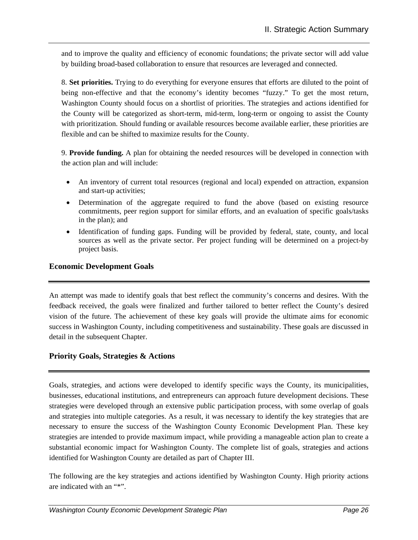and to improve the quality and efficiency of economic foundations; the private sector will add value by building broad-based collaboration to ensure that resources are leveraged and connected.

8. **Set priorities.** Trying to do everything for everyone ensures that efforts are diluted to the point of being non-effective and that the economy's identity becomes "fuzzy." To get the most return, Washington County should focus on a shortlist of priorities. The strategies and actions identified for the County will be categorized as short-term, mid-term, long-term or ongoing to assist the County with prioritization. Should funding or available resources become available earlier, these priorities are flexible and can be shifted to maximize results for the County.

9. **Provide funding.** A plan for obtaining the needed resources will be developed in connection with the action plan and will include:

- An inventory of current total resources (regional and local) expended on attraction, expansion and start-up activities;
- Determination of the aggregate required to fund the above (based on existing resource commitments, peer region support for similar efforts, and an evaluation of specific goals/tasks in the plan); and
- Identification of funding gaps. Funding will be provided by federal, state, county, and local sources as well as the private sector. Per project funding will be determined on a project-by project basis.

# **Economic Development Goals**

An attempt was made to identify goals that best reflect the community's concerns and desires. With the feedback received, the goals were finalized and further tailored to better reflect the County's desired vision of the future. The achievement of these key goals will provide the ultimate aims for economic success in Washington County, including competitiveness and sustainability. These goals are discussed in detail in the subsequent Chapter.

### **Priority Goals, Strategies & Actions**

Goals, strategies, and actions were developed to identify specific ways the County, its municipalities, businesses, educational institutions, and entrepreneurs can approach future development decisions. These strategies were developed through an extensive public participation process, with some overlap of goals and strategies into multiple categories. As a result, it was necessary to identify the key strategies that are necessary to ensure the success of the Washington County Economic Development Plan. These key strategies are intended to provide maximum impact, while providing a manageable action plan to create a substantial economic impact for Washington County. The complete list of goals, strategies and actions identified for Washington County are detailed as part of Chapter III.

The following are the key strategies and actions identified by Washington County. High priority actions are indicated with an "\*".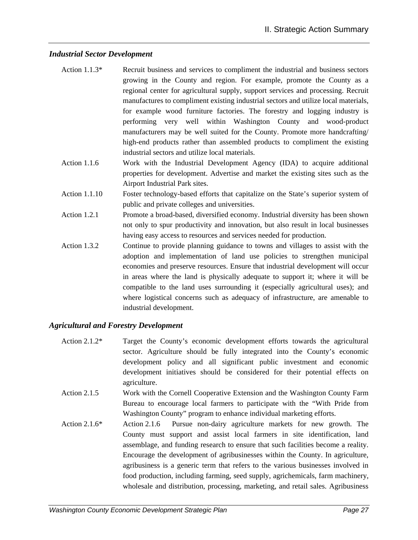#### *Industrial Sector Development*

- Action 1.1.3\* Recruit business and services to compliment the industrial and business sectors growing in the County and region. For example, promote the County as a regional center for agricultural supply, support services and processing. Recruit manufactures to compliment existing industrial sectors and utilize local materials, for example wood furniture factories. The forestry and logging industry is performing very well within Washington County and wood-product manufacturers may be well suited for the County. Promote more handcrafting/ high-end products rather than assembled products to compliment the existing industrial sectors and utilize local materials.
- Action 1.1.6 Work with the Industrial Development Agency (IDA) to acquire additional properties for development. Advertise and market the existing sites such as the Airport Industrial Park sites.
- Action 1.1.10 Foster technology-based efforts that capitalize on the State's superior system of public and private colleges and universities.
- Action 1.2.1 Promote a broad-based, diversified economy. Industrial diversity has been shown not only to spur productivity and innovation, but also result in local businesses having easy access to resources and services needed for production.
- Action 1.3.2 Continue to provide planning guidance to towns and villages to assist with the adoption and implementation of land use policies to strengthen municipal economies and preserve resources. Ensure that industrial development will occur in areas where the land is physically adequate to support it; where it will be compatible to the land uses surrounding it (especially agricultural uses); and where logistical concerns such as adequacy of infrastructure, are amenable to industrial development.

### *Agricultural and Forestry Development*

- Action 2.1.2\* Target the County's economic development efforts towards the agricultural sector. Agriculture should be fully integrated into the County's economic development policy and all significant public investment and economic development initiatives should be considered for their potential effects on agriculture.
- Action 2.1.5 Work with the Cornell Cooperative Extension and the Washington County Farm Bureau to encourage local farmers to participate with the "With Pride from Washington County" program to enhance individual marketing efforts.
- Action 2.1.6\* Action 2.1.6 Pursue non-dairy agriculture markets for new growth. The County must support and assist local farmers in site identification, land assemblage, and funding research to ensure that such facilities become a reality. Encourage the development of agribusinesses within the County. In agriculture, agribusiness is a generic term that refers to the various businesses involved in food production, including farming, seed supply, agrichemicals, farm machinery, wholesale and distribution, processing, marketing, and retail sales. Agribusiness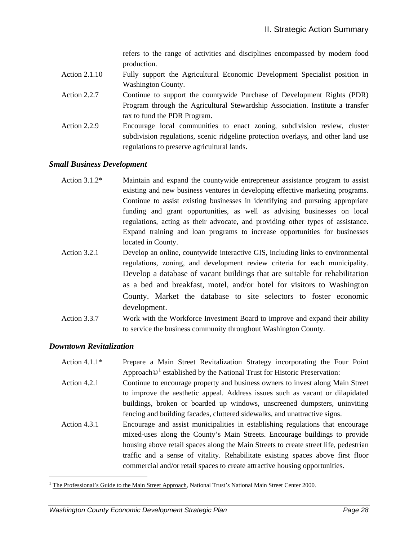refers to the range of activities and disciplines encompassed by modern food production.

- Action 2.1.10 Fully support the Agricultural Economic Development Specialist position in Washington County.
- Action 2.2.7 Continue to support the countywide Purchase of Development Rights (PDR) Program through the Agricultural Stewardship Association. Institute a transfer tax to fund the PDR Program.
- Action 2.2.9 Encourage local communities to enact zoning, subdivision review, cluster subdivision regulations, scenic ridgeline protection overlays, and other land use regulations to preserve agricultural lands.

#### *Small Business Development*

- Action 3.1.2<sup>\*</sup> Maintain and expand the countywide entrepreneur assistance program to assist existing and new business ventures in developing effective marketing programs. Continue to assist existing businesses in identifying and pursuing appropriate funding and grant opportunities, as well as advising businesses on local regulations, acting as their advocate, and providing other types of assistance. Expand training and loan programs to increase opportunities for businesses located in County.
- Action 3.2.1 Develop an online, countywide interactive GIS, including links to environmental regulations, zoning, and development review criteria for each municipality. Develop a database of vacant buildings that are suitable for rehabilitation as a bed and breakfast, motel, and/or hotel for visitors to Washington County. Market the database to site selectors to foster economic development.
- Action 3.3.7 Work with the Workforce Investment Board to improve and expand their ability to service the business community throughout Washington County.

#### *Downtown Revitalization*

1

- Action 4.1.1\* Prepare a Main Street Revitalization Strategy incorporating the Four Point Approach $\mathbb{O}^1$  established by the National Trust for Historic Preservation:
- Action 4.2.1 Continue to encourage property and business owners to invest along Main Street to improve the aesthetic appeal. Address issues such as vacant or dilapidated buildings, broken or boarded up windows, unscreened dumpsters, uninviting fencing and building facades, cluttered sidewalks, and unattractive signs.
- Action 4.3.1 Encourage and assist municipalities in establishing regulations that encourage mixed-uses along the County's Main Streets. Encourage buildings to provide housing above retail spaces along the Main Streets to create street life, pedestrian traffic and a sense of vitality. Rehabilitate existing spaces above first floor commercial and/or retail spaces to create attractive housing opportunities.

<sup>&</sup>lt;sup>1</sup> The Professional's Guide to the Main Street Approach, National Trust's National Main Street Center 2000.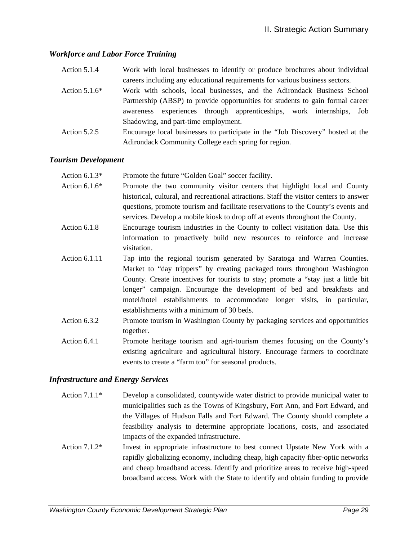# *Workforce and Labor Force Training*

| Action 5.1.4    | Work with local businesses to identify or produce brochures about individual   |
|-----------------|--------------------------------------------------------------------------------|
|                 | careers including any educational requirements for various business sectors.   |
| Action $5.1.6*$ | Work with schools, local businesses, and the Adirondack Business School        |
|                 | Partnership (ABSP) to provide opportunities for students to gain formal career |
|                 | experiences through apprenticeships, work internships,<br>Job<br>awareness     |
|                 | Shadowing, and part-time employment.                                           |
| Action $5.2.5$  | Encourage local businesses to participate in the "Job Discovery" hosted at the |
|                 | Adirondack Community College each spring for region.                           |

#### *Tourism Development*

| Action $6.1.3*$ | Promote the future "Golden Goal" soccer facility.                                       |
|-----------------|-----------------------------------------------------------------------------------------|
| Action $6.1.6*$ | Promote the two community visitor centers that highlight local and County               |
|                 | historical, cultural, and recreational attractions. Staff the visitor centers to answer |
|                 | questions, promote tourism and facilitate reservations to the County's events and       |
|                 | services. Develop a mobile kiosk to drop off at events throughout the County.           |
| Action 6.1.8    | Encourage tourism industries in the County to collect visitation data. Use this         |
|                 | information to proactively build new resources to reinforce and increase                |
|                 | visitation.                                                                             |
| Action 6.1.11   | Tap into the regional tourism generated by Saratoga and Warren Counties.                |
|                 | Market to "day trippers" by creating packaged tours throughout Washington               |
|                 | County. Create incentives for tourists to stay; promote a "stay just a little bit"      |
|                 | longer" campaign. Encourage the development of bed and breakfasts and                   |
|                 | motel/hotel establishments to accommodate longer visits, in particular,                 |
|                 | establishments with a minimum of 30 beds.                                               |
| Action 6.3.2    | Promote tourism in Washington County by packaging services and opportunities            |
|                 | together.                                                                               |
| Action 6.4.1    | Promote heritage tourism and agri-tourism themes focusing on the County's               |
|                 | existing agriculture and agricultural history. Encourage farmers to coordinate          |
|                 | events to create a "farm tou" for seasonal products.                                    |

### *Infrastructure and Energy Services*

- Action 7.1.1\* Develop a consolidated, countywide water district to provide municipal water to municipalities such as the Towns of Kingsbury, Fort Ann, and Fort Edward, and the Villages of Hudson Falls and Fort Edward. The County should complete a feasibility analysis to determine appropriate locations, costs, and associated impacts of the expanded infrastructure.
- Action 7.1.2\* Invest in appropriate infrastructure to best connect Upstate New York with a rapidly globalizing economy, including cheap, high capacity fiber-optic networks and cheap broadband access. Identify and prioritize areas to receive high-speed broadband access. Work with the State to identify and obtain funding to provide